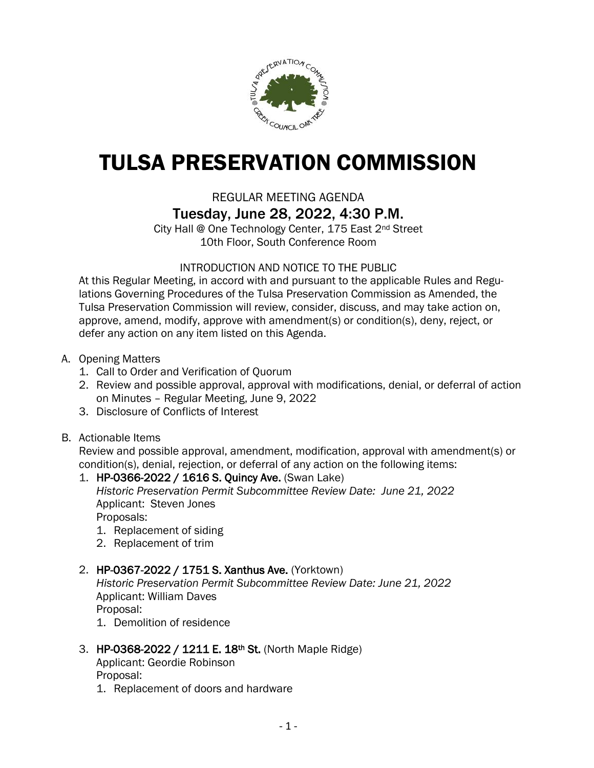

# TULSA PRESERVATION COMMISSION

# REGULAR MEETING AGENDA

Tuesday, June 28, 2022, 4:30 P.M.

City Hall @ One Technology Center, 175 East 2nd Street 10th Floor, South Conference Room

### INTRODUCTION AND NOTICE TO THE PUBLIC

At this Regular Meeting, in accord with and pursuant to the applicable Rules and Regulations Governing Procedures of the Tulsa Preservation Commission as Amended, the Tulsa Preservation Commission will review, consider, discuss, and may take action on, approve, amend, modify, approve with amendment(s) or condition(s), deny, reject, or defer any action on any item listed on this Agenda.

- A. Opening Matters
	- 1. Call to Order and Verification of Quorum
	- 2. Review and possible approval, approval with modifications, denial, or deferral of action on Minutes – Regular Meeting, June 9, 2022
	- 3. Disclosure of Conflicts of Interest
- B. Actionable Items

Review and possible approval, amendment, modification, approval with amendment(s) or condition(s), denial, rejection, or deferral of any action on the following items:

# 1. HP-0366-2022 / 1616 S. Quincy Ave. (Swan Lake) *Historic Preservation Permit Subcommittee Review Date: June 21, 2022* Applicant: Steven Jones

Proposals:

- 1. Replacement of siding
- 2. Replacement of trim

### 2. HP-0367-2022 / 1751 S. Xanthus Ave. (Yorktown)

*Historic Preservation Permit Subcommittee Review Date: June 21, 2022* Applicant: William Daves

Proposal:

1. Demolition of residence

### 3. HP-0368-2022 / 1211 E. 18th St. (North Maple Ridge)

Applicant: Geordie Robinson Proposal:

1. Replacement of doors and hardware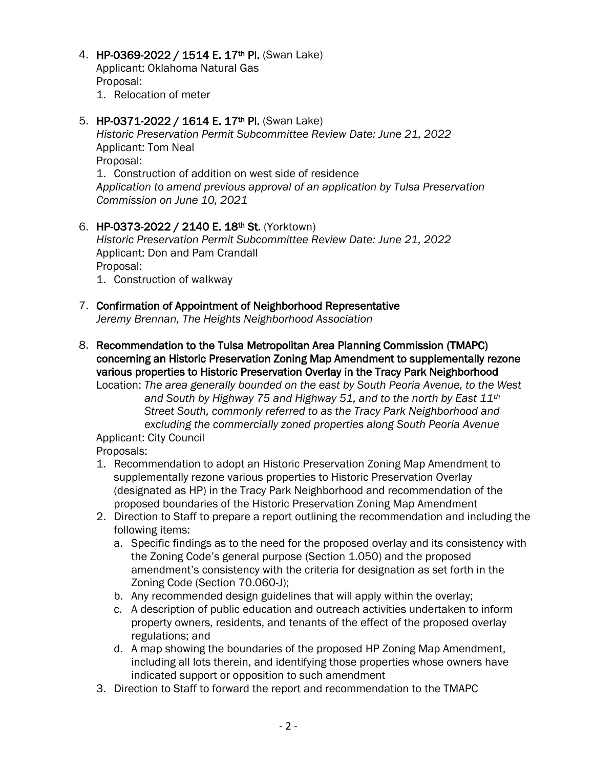#### 4. HP-0369-2022 / 1514 E. 17<sup>th</sup> Pl. (Swan Lake)

Applicant: Oklahoma Natural Gas Proposal:

1. Relocation of meter

#### 5. HP-0371-2022 / 1614 E. 17<sup>th</sup> Pl. (Swan Lake)

*Historic Preservation Permit Subcommittee Review Date: June 21, 2022* Applicant: Tom Neal Proposal: 1. Construction of addition on west side of residence *Application to amend previous approval of an application by Tulsa Preservation* 

*Commission on June 10, 2021*

## 6. HP-0373-2022 / 2140 E. 18th St. (Yorktown)

*Historic Preservation Permit Subcommittee Review Date: June 21, 2022* Applicant: Don and Pam Crandall Proposal:

1. Construction of walkway

#### 7. Confirmation of Appointment of Neighborhood Representative *Jeremy Brennan, The Heights Neighborhood Association*

8. Recommendation to the Tulsa Metropolitan Area Planning Commission (TMAPC) concerning an Historic Preservation Zoning Map Amendment to supplementally rezone various properties to Historic Preservation Overlay in the Tracy Park Neighborhood

Location: *The area generally bounded on the east by South Peoria Avenue, to the West and South by Highway 75 and Highway 51, and to the north by East 11th Street South, commonly referred to as the Tracy Park Neighborhood and excluding the commercially zoned properties along South Peoria Avenue*

Applicant: City Council

Proposals:

- 1. Recommendation to adopt an Historic Preservation Zoning Map Amendment to supplementally rezone various properties to Historic Preservation Overlay (designated as HP) in the Tracy Park Neighborhood and recommendation of the proposed boundaries of the Historic Preservation Zoning Map Amendment
- 2. Direction to Staff to prepare a report outlining the recommendation and including the following items:
	- a. Specific findings as to the need for the proposed overlay and its consistency with the Zoning Code's general purpose (Section 1.050) and the proposed amendment's consistency with the criteria for designation as set forth in the Zoning Code (Section 70.060-J);
	- b. Any recommended design guidelines that will apply within the overlay;
	- c. A description of public education and outreach activities undertaken to inform property owners, residents, and tenants of the effect of the proposed overlay regulations; and
	- d. A map showing the boundaries of the proposed HP Zoning Map Amendment, including all lots therein, and identifying those properties whose owners have indicated support or opposition to such amendment
- 3. Direction to Staff to forward the report and recommendation to the TMAPC